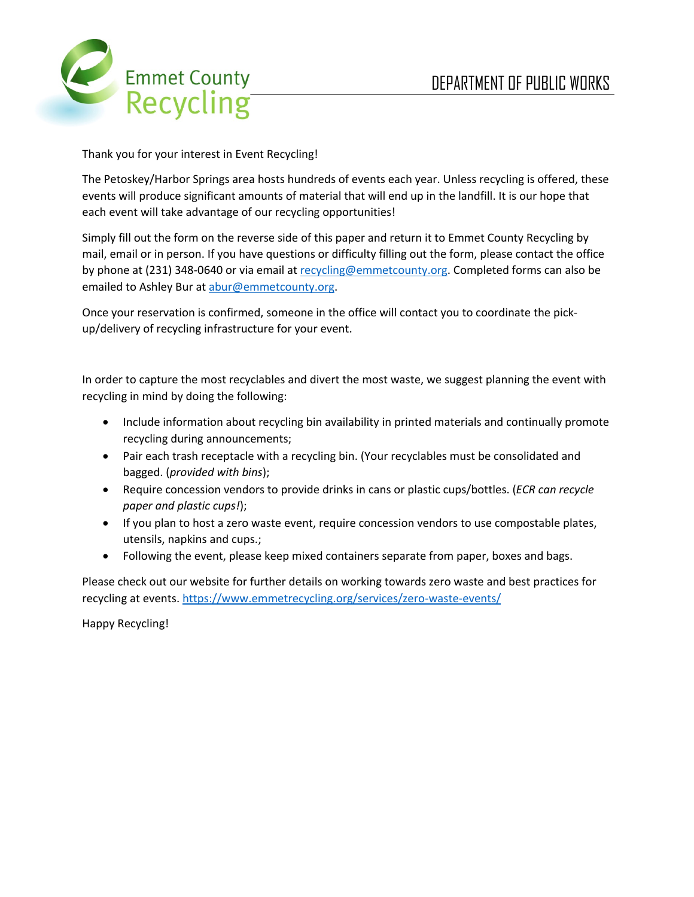

Thank you for your interest in Event Recycling!

The Petoskey/Harbor Springs area hosts hundreds of events each year. Unless recycling is offered, these events will produce significant amounts of material that will end up in the landfill. It is our hope that each event will take advantage of our recycling opportunities!

Simply fill out the form on the reverse side of this paper and return it to Emmet County Recycling by mail, email or in person. If you have questions or difficulty filling out the form, please contact the office by phone at (231) 348-0640 or via email at recycling@emmetcounty.org. Completed forms can also be emailed to Ashley Bur at abur@emmetcounty.org.

Once your reservation is confirmed, someone in the office will contact you to coordinate the pickup/delivery of recycling infrastructure for your event.

In order to capture the most recyclables and divert the most waste, we suggest planning the event with recycling in mind by doing the following:

- Include information about recycling bin availability in printed materials and continually promote recycling during announcements;
- Pair each trash receptacle with a recycling bin. (Your recyclables must be consolidated and bagged. (*provided with bins*);
- Require concession vendors to provide drinks in cans or plastic cups/bottles. (*ECR can recycle paper and plastic cups!*);
- If you plan to host a zero waste event, require concession vendors to use compostable plates, utensils, napkins and cups.;
- Following the event, please keep mixed containers separate from paper, boxes and bags.

Please check out our website for further details on working towards zero waste and best practices for recycling at events. https://www.emmetrecycling.org/services/zero-waste-events/

Happy Recycling!